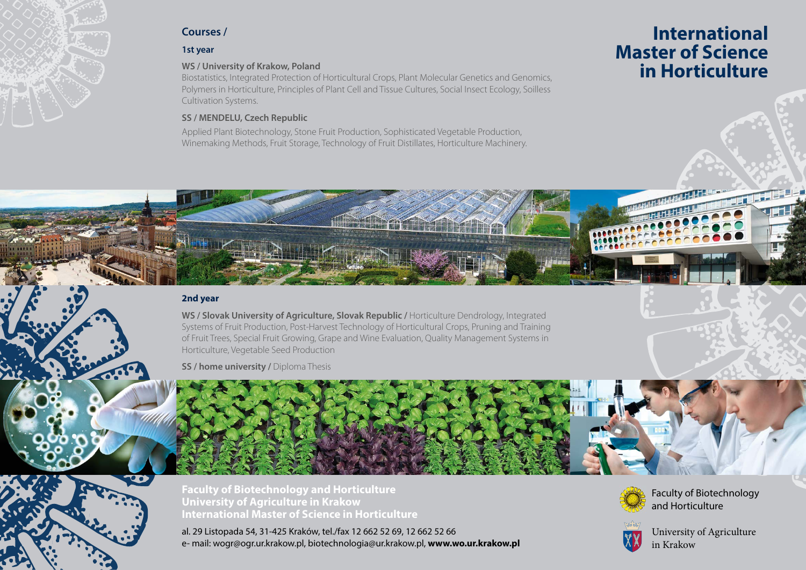

# **Courses /**

## **1st year**

### **WS / University of Krakow, Poland**

Biostatistics, Integrated Protection of Horticultural Crops, Plant Molecular Genetics and Genomics, Polymers in Horticulture, Principles of Plant Cell and Tissue Cultures, Social Insect Ecology, Soilless Cultivation Systems.

# **SS / MENDELU, Czech Republic**

Applied Plant Biotechnology, Stone Fruit Production, Sophisticated Vegetable Production, Winemaking Methods, Fruit Storage, Technology of Fruit Distillates, Horticulture Machinery.

# **International Master of Science in Horticulture**

# **2nd year**

**WS / Slovak University of Agriculture, Slovak Republic /** Horticulture Dendrology, Integrated Systems of Fruit Production, Post-Harvest Technology of Horticultural Crops, Pruning and Training of Fruit Trees, Special Fruit Growing, Grape and Wine Evaluation, Quality Management Systems in Horticulture, Vegetable Seed Production

**SS / home university / Diploma Thesis** 

**Faculty of Biotechnology and Horticulture University of Agriculture in Krakow International Master of Science in Horticulture**

al. 29 Listopada 54, 31-425 Kraków, tel./fax 12 662 52 69, 12 662 52 66 e- mail: wogr@ogr.ur.krakow.pl, biotechnologia@ur.krakow.pl, **www.wo.ur.krakow.pl**



Faculty of Biotechnology and Horticulture



University of Agriculture in Krakow